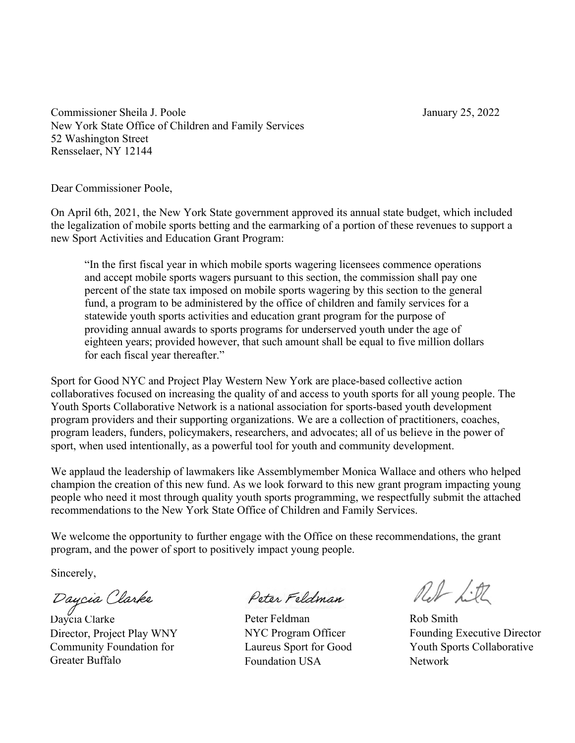Commissioner Sheila J. Poole January 25, 2022 New York State Office of Children and Family Services 52 Washington Street Rensselaer, NY 12144

Dear Commissioner Poole,

On April 6th, 2021, the New York State government approved its annual state budget, which included the legalization of mobile sports betting and the earmarking of a portion of these revenues to support a new Sport Activities and Education Grant Program:

"In the first fiscal year in which mobile sports wagering licensees commence operations and accept mobile sports wagers pursuant to this section, the commission shall pay one percent of the state tax imposed on mobile sports wagering by this section to the general fund, a program to be administered by the office of children and family services for a statewide youth sports activities and education grant program for the purpose of providing annual awards to sports programs for underserved youth under the age of eighteen years; provided however, that such amount shall be equal to five million dollars for each fiscal year thereafter."

Sport for Good NYC and Project Play Western New York are place-based collective action collaboratives focused on increasing the quality of and access to youth sports for all young people. The Youth Sports Collaborative Network is a national association for sports-based youth development program providers and their supporting organizations. We are a collection of practitioners, coaches, program leaders, funders, policymakers, researchers, and advocates; all of us believe in the power of sport, when used intentionally, as a powerful tool for youth and community development.

We applaud the leadership of lawmakers like Assemblymember Monica Wallace and others who helped champion the creation of this new fund. As we look forward to this new grant program impacting young people who need it most through quality youth sports programming, we respectfully submit the attached recommendations to the New York State Office of Children and Family Services.

We welcome the opportunity to further engage with the Office on these recommendations, the grant program, and the power of sport to positively impact young people.

Sincerely,

Day*cia Clarke*<br>Daycia Clarke

Director, Project Play WNY Community Foundation for Greater Buffalo

Poter Foldman

Peter Feldman NYC Program Officer Laureus Sport for Good Foundation USA

Red Litt

Rob Smith Founding Executive Director Youth Sports Collaborative Network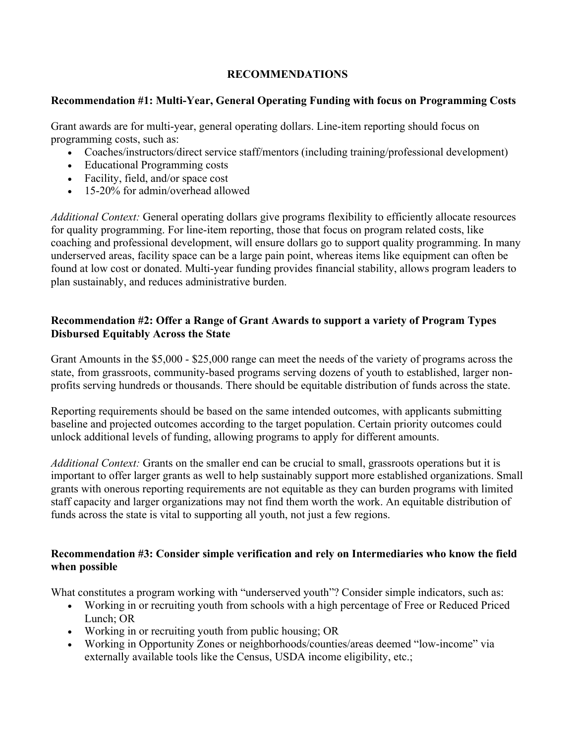# **RECOMMENDATIONS**

# **Recommendation #1: Multi-Year, General Operating Funding with focus on Programming Costs**

Grant awards are for multi-year, general operating dollars. Line-item reporting should focus on programming costs, such as:

- Coaches/instructors/direct service staff/mentors (including training/professional development)
- Educational Programming costs
- Facility, field, and/or space cost
- 15-20% for admin/overhead allowed

*Additional Context:* General operating dollars give programs flexibility to efficiently allocate resources for quality programming. For line-item reporting, those that focus on program related costs, like coaching and professional development, will ensure dollars go to support quality programming. In many underserved areas, facility space can be a large pain point, whereas items like equipment can often be found at low cost or donated. Multi-year funding provides financial stability, allows program leaders to plan sustainably, and reduces administrative burden.

# **Recommendation #2: Offer a Range of Grant Awards to support a variety of Program Types Disbursed Equitably Across the State**

Grant Amounts in the \$5,000 - \$25,000 range can meet the needs of the variety of programs across the state, from grassroots, community-based programs serving dozens of youth to established, larger nonprofits serving hundreds or thousands. There should be equitable distribution of funds across the state.

Reporting requirements should be based on the same intended outcomes, with applicants submitting baseline and projected outcomes according to the target population. Certain priority outcomes could unlock additional levels of funding, allowing programs to apply for different amounts.

*Additional Context:* Grants on the smaller end can be crucial to small, grassroots operations but it is important to offer larger grants as well to help sustainably support more established organizations. Small grants with onerous reporting requirements are not equitable as they can burden programs with limited staff capacity and larger organizations may not find them worth the work. An equitable distribution of funds across the state is vital to supporting all youth, not just a few regions.

# **Recommendation #3: Consider simple verification and rely on Intermediaries who know the field when possible**

What constitutes a program working with "underserved youth"? Consider simple indicators, such as:

- Working in or recruiting youth from schools with a high percentage of Free or Reduced Priced Lunch; OR
- Working in or recruiting youth from public housing; OR
- Working in Opportunity Zones or neighborhoods/counties/areas deemed "low-income" via externally available tools like the Census, USDA income eligibility, etc.;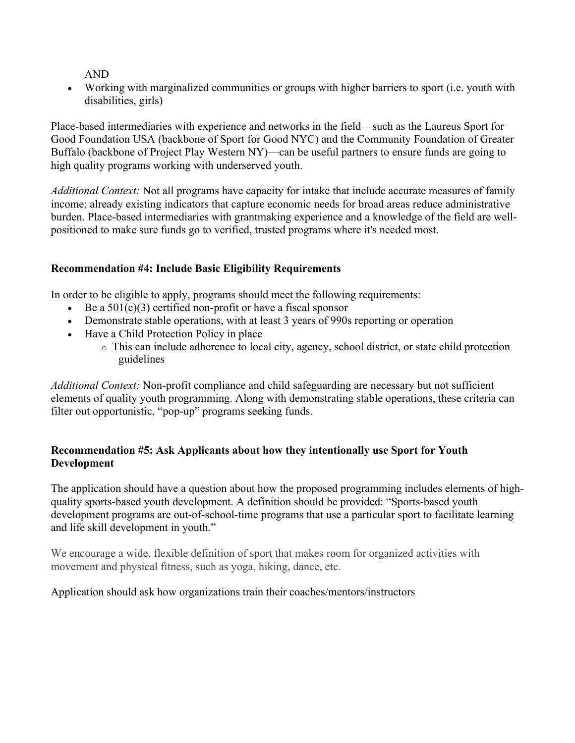AND

• Working with marginalized communities or groups with higher barriers to sport (i.e. youth with disabilities, girls)

Place-based intermediaries with experience and networks in the field—such as the Laureus Sport for Good Foundation USA (backbone of Sport for Good NYC) and the Community Foundation of Greater Buffalo (backbone of Project Play Western NY)—can be useful partners to ensure funds are going to high quality programs working with underserved youth.

*Additional Context:* Not all programs have capacity for intake that include accurate measures of family income; already existing indicators that capture economic needs for broad areas reduce administrative burden. Place-based intermediaries with grantmaking experience and a knowledge of the field are wellpositioned to make sure funds go to verified, trusted programs where it's needed most.

# **Recommendation #4: Include Basic Eligibility Requirements**

In order to be eligible to apply, programs should meet the following requirements:

- Be a  $501(c)(3)$  certified non-profit or have a fiscal sponsor
- Demonstrate stable operations, with at least 3 years of 990s reporting or operation
- Have a Child Protection Policy in place
	- o This can include adherence to local city, agency, school district, or state child protection guidelines

*Additional Context:* Non-profit compliance and child safeguarding are necessary but not sufficient elements of quality youth programming. Along with demonstrating stable operations, these criteria can filter out opportunistic, "pop-up" programs seeking funds.

### **Recommendation #5: Ask Applicants about how they intentionally use Sport for Youth Development**

The application should have a question about how the proposed programming includes elements of highquality sports-based youth development. A definition should be provided: "Sports-based youth development programs are out-of-school-time programs that use a particular sport to facilitate learning and life skill development in youth."

We encourage a wide, flexible definition of sport that makes room for organized activities with movement and physical fitness, such as yoga, hiking, dance, etc.

### Application should ask how organizations train their coaches/mentors/instructors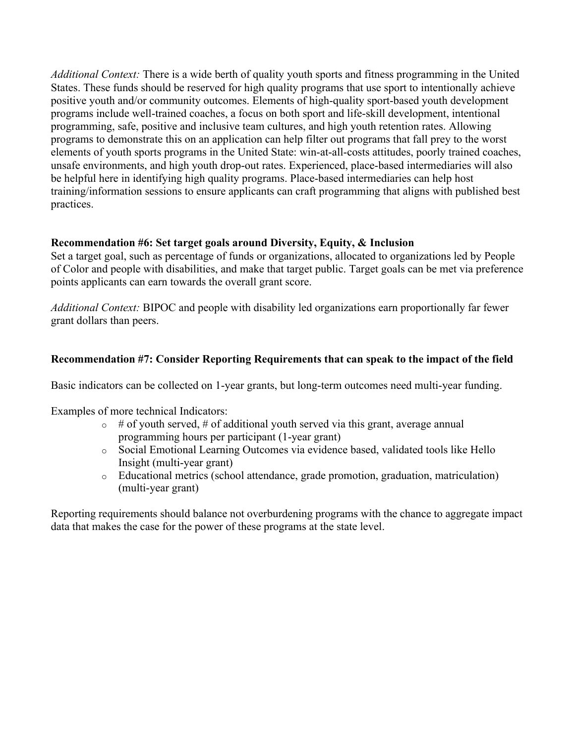*Additional Context:* There is a wide berth of quality youth sports and fitness programming in the United States. These funds should be reserved for high quality programs that use sport to intentionally achieve positive youth and/or community outcomes. Elements of high-quality sport-based youth development programs include well-trained coaches, a focus on both sport and life-skill development, intentional programming, safe, positive and inclusive team cultures, and high youth retention rates. Allowing programs to demonstrate this on an application can help filter out programs that fall prey to the worst elements of youth sports programs in the United State: win-at-all-costs attitudes, poorly trained coaches, unsafe environments, and high youth drop-out rates. Experienced, place-based intermediaries will also be helpful here in identifying high quality programs. Place-based intermediaries can help host training/information sessions to ensure applicants can craft programming that aligns with published best practices.

# **Recommendation #6: Set target goals around Diversity, Equity, & Inclusion**

Set a target goal, such as percentage of funds or organizations, allocated to organizations led by People of Color and people with disabilities, and make that target public. Target goals can be met via preference points applicants can earn towards the overall grant score.

*Additional Context:* BIPOC and people with disability led organizations earn proportionally far fewer grant dollars than peers.

# **Recommendation #7: Consider Reporting Requirements that can speak to the impact of the field**

Basic indicators can be collected on 1-year grants, but long-term outcomes need multi-year funding.

Examples of more technical Indicators:

- $\circ$  # of youth served, # of additional youth served via this grant, average annual programming hours per participant (1-year grant)
- o Social Emotional Learning Outcomes via evidence based, validated tools like Hello Insight (multi-year grant)
- o Educational metrics (school attendance, grade promotion, graduation, matriculation) (multi-year grant)

Reporting requirements should balance not overburdening programs with the chance to aggregate impact data that makes the case for the power of these programs at the state level.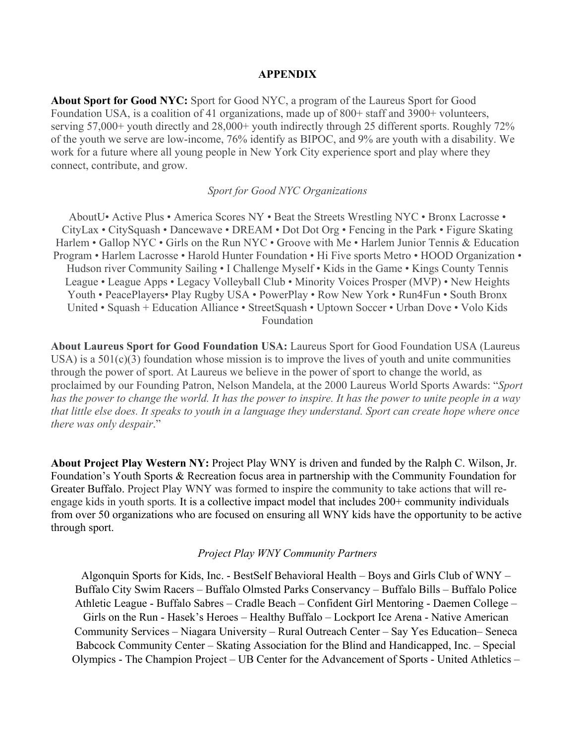#### **APPENDIX**

**About Sport for Good NYC:** Sport for Good NYC, a program of the Laureus Sport for Good Foundation USA, is a coalition of 41 organizations, made up of 800+ staff and 3900+ volunteers, serving 57,000+ youth directly and 28,000+ youth indirectly through 25 different sports. Roughly 72% of the youth we serve are low-income, 76% identify as BIPOC, and 9% are youth with a disability. We work for a future where all young people in New York City experience sport and play where they connect, contribute, and grow.

#### *Sport for Good NYC Organizations*

AboutU• Active Plus • America Scores NY • Beat the Streets Wrestling NYC • Bronx Lacrosse • CityLax • CitySquash • Dancewave • DREAM • Dot Dot Org • Fencing in the Park • Figure Skating Harlem • Gallop NYC • Girls on the Run NYC • Groove with Me • Harlem Junior Tennis & Education Program • Harlem Lacrosse • Harold Hunter Foundation • Hi Five sports Metro • HOOD Organization • Hudson river Community Sailing • I Challenge Myself • Kids in the Game • Kings County Tennis League • League Apps • Legacy Volleyball Club • Minority Voices Prosper (MVP) • New Heights Youth • PeacePlayers• Play Rugby USA • PowerPlay • Row New York • Run4Fun • South Bronx United • Squash + Education Alliance • StreetSquash • Uptown Soccer • Urban Dove • Volo Kids Foundation

**About Laureus Sport for Good Foundation USA:** Laureus Sport for Good Foundation USA (Laureus USA) is a  $501(c)(3)$  foundation whose mission is to improve the lives of youth and unite communities through the power of sport. At Laureus we believe in the power of sport to change the world, as proclaimed by our Founding Patron, Nelson Mandela, at the 2000 Laureus World Sports Awards: "*Sport has the power to change the world. It has the power to inspire. It has the power to unite people in a way that little else does. It speaks to youth in a language they understand. Sport can create hope where once there was only despair*."

**About Project Play Western NY:** Project Play WNY is driven and funded by the Ralph C. Wilson, Jr. Foundation's Youth Sports & Recreation focus area in partnership with the Community Foundation for Greater Buffalo. Project Play WNY was formed to inspire the community to take actions that will reengage kids in youth sports*.* It is a collective impact model that includes 200+ community individuals from over 50 organizations who are focused on ensuring all WNY kids have the opportunity to be active through sport.

#### *Project Play WNY Community Partners*

Algonquin Sports for Kids, Inc. - BestSelf Behavioral Health – Boys and Girls Club of WNY – Buffalo City Swim Racers – Buffalo Olmsted Parks Conservancy – Buffalo Bills – Buffalo Police Athletic League - Buffalo Sabres – Cradle Beach – Confident Girl Mentoring - Daemen College – Girls on the Run - Hasek's Heroes – Healthy Buffalo – Lockport Ice Arena - Native American Community Services – Niagara University – Rural Outreach Center – Say Yes Education– Seneca Babcock Community Center – Skating Association for the Blind and Handicapped, Inc. – Special Olympics - The Champion Project – UB Center for the Advancement of Sports - United Athletics –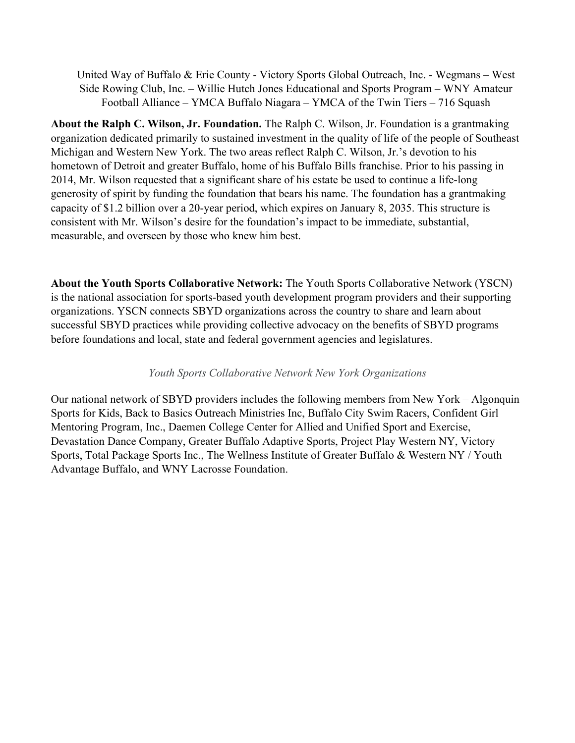United Way of Buffalo & Erie County - Victory Sports Global Outreach, Inc. - Wegmans – West Side Rowing Club, Inc. – Willie Hutch Jones Educational and Sports Program – WNY Amateur Football Alliance – YMCA Buffalo Niagara – YMCA of the Twin Tiers – 716 Squash

**About the Ralph C. Wilson, Jr. Foundation.** The Ralph C. Wilson, Jr. Foundation is a grantmaking organization dedicated primarily to sustained investment in the quality of life of the people of Southeast Michigan and Western New York. The two areas reflect Ralph C. Wilson, Jr.'s devotion to his hometown of Detroit and greater Buffalo, home of his Buffalo Bills franchise. Prior to his passing in 2014, Mr. Wilson requested that a significant share of his estate be used to continue a life-long generosity of spirit by funding the foundation that bears his name. The foundation has a grantmaking capacity of \$1.2 billion over a 20-year period, which expires on January 8, 2035. This structure is consistent with Mr. Wilson's desire for the foundation's impact to be immediate, substantial, measurable, and overseen by those who knew him best.

**About the Youth Sports Collaborative Network:** The Youth Sports Collaborative Network (YSCN) is the national association for sports-based youth development program providers and their supporting organizations. YSCN connects SBYD organizations across the country to share and learn about successful SBYD practices while providing collective advocacy on the benefits of SBYD programs before foundations and local, state and federal government agencies and legislatures.

#### *Youth Sports Collaborative Network New York Organizations*

Our national network of SBYD providers includes the following members from New York – Algonquin Sports for Kids, Back to Basics Outreach Ministries Inc, Buffalo City Swim Racers, Confident Girl Mentoring Program, Inc., Daemen College Center for Allied and Unified Sport and Exercise, Devastation Dance Company, Greater Buffalo Adaptive Sports, Project Play Western NY, Victory Sports, Total Package Sports Inc., The Wellness Institute of Greater Buffalo & Western NY / Youth Advantage Buffalo, and WNY Lacrosse Foundation.